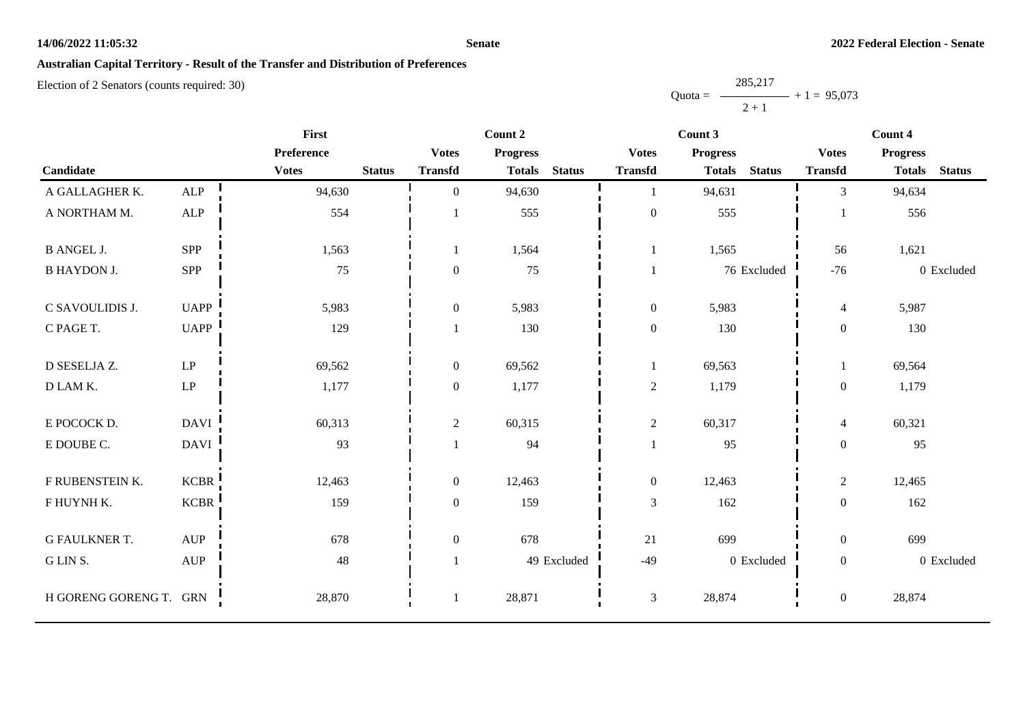#### **Senate**

## **Australian Capital Territory - Result of the Transfer and Distribution of Preferences**

|           | 285,217 |               |
|-----------|---------|---------------|
| $Quota =$ |         | $+1 = 95,073$ |
|           | $2 + 1$ |               |

|                        |                                  | <b>First</b> |               |                  |                 | Count 2       |                  |                 |               | Count 4          |                 |               |
|------------------------|----------------------------------|--------------|---------------|------------------|-----------------|---------------|------------------|-----------------|---------------|------------------|-----------------|---------------|
|                        |                                  | Preference   |               | <b>Votes</b>     | <b>Progress</b> |               | <b>Votes</b>     | <b>Progress</b> |               | <b>Votes</b>     | <b>Progress</b> |               |
| Candidate              |                                  | <b>Votes</b> | <b>Status</b> | <b>Transfd</b>   | <b>Totals</b>   | <b>Status</b> | <b>Transfd</b>   | <b>Totals</b>   | <b>Status</b> | <b>Transfd</b>   | <b>Totals</b>   | <b>Status</b> |
| A GALLAGHER K.         | ${\sf ALP}$                      | 94,630       |               | $\overline{0}$   | 94,630          |               | $\mathbf{1}$     | 94,631          |               | $\overline{3}$   | 94,634          |               |
| A NORTHAM M.           | <b>ALP</b>                       | 554          |               |                  | 555             |               | $\boldsymbol{0}$ | 555             |               |                  | 556             |               |
| <b>B ANGEL J.</b>      | SPP                              | 1,563        |               |                  | 1,564           |               | $\mathbf{1}$     | 1,565           |               | 56               | 1,621           |               |
| <b>B HAYDON J.</b>     | SPP                              | 75           |               | $\mathbf{0}$     | 75              |               |                  |                 | 76 Excluded   | $-76$            |                 | 0 Excluded    |
| C SAVOULIDIS J.        | <b>UAPP</b>                      | 5,983        |               | $\mathbf{0}$     | 5,983           |               | $\boldsymbol{0}$ | 5,983           |               | $\overline{4}$   | 5,987           |               |
| C PAGE T.              | <b>UAPP</b>                      | 129          |               |                  | 130             |               | $\boldsymbol{0}$ | 130             |               | $\overline{0}$   | 130             |               |
| D SESELJA Z.           | $\mathrm{LP}$                    | 69,562       |               | $\mathbf{0}$     | 69,562          |               | $\mathbf{1}$     | 69,563          |               |                  | 69,564          |               |
| D LAM K.               | $\ensuremath{\mathrm{LP}}$       | 1,177        |               | $\mathbf{0}$     | 1,177           |               | $\overline{c}$   | 1,179           |               | $\overline{0}$   | 1,179           |               |
| E POCOCK D.            | <b>DAVI</b>                      | 60,313       |               | $\boldsymbol{2}$ | 60,315          |               | $\overline{2}$   | 60,317          |               | $\overline{4}$   | 60,321          |               |
| E DOUBE C.             | <b>DAVI</b>                      | 93           |               |                  | 94              |               | $\mathbf{1}$     | 95              |               | $\boldsymbol{0}$ | 95              |               |
| F RUBENSTEIN K.        | <b>KCBR</b>                      | 12,463       |               | $\mathbf{0}$     | 12,463          |               | $\boldsymbol{0}$ | 12,463          |               | $\overline{2}$   | 12,465          |               |
| F HUYNH K.             | <b>KCBR</b>                      | 159          |               | $\mathbf{0}$     | 159             |               | $\mathfrak{Z}$   | 162             |               | $\overline{0}$   | 162             |               |
| <b>G FAULKNER T.</b>   | $\mbox{AUP}$                     | 678          |               | $\mathbf{0}$     | 678             |               | 21               | 699             |               | $\overline{0}$   | 699             |               |
| G LIN S.               | $\mathbf{A}\mathbf{U}\mathbf{P}$ | 48           |               |                  |                 | 49 Excluded   | $-49$            |                 | 0 Excluded    | $\boldsymbol{0}$ |                 | 0 Excluded    |
| H GORENG GORENG T. GRN |                                  | 28,870       |               |                  | 28,871          |               | $\mathfrak{Z}$   | 28,874          |               | $\overline{0}$   | 28,874          |               |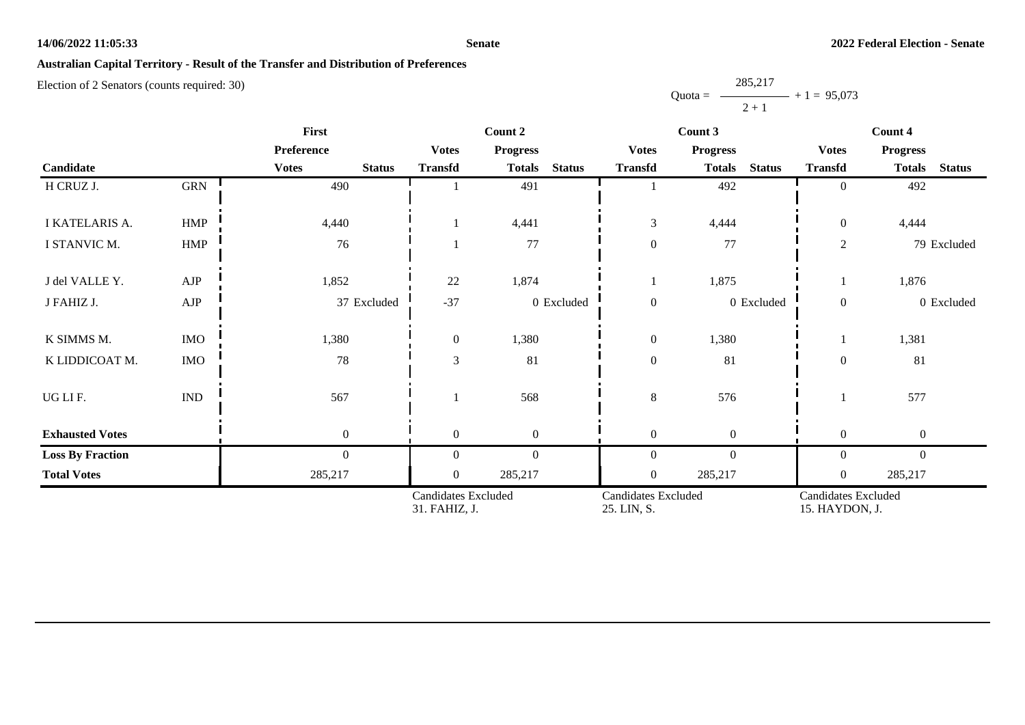#### **Senate**

# **Australian Capital Territory - Result of the Transfer and Distribution of Preferences**

|           | 285,217 |               |
|-----------|---------|---------------|
| $Quota =$ |         | $+1 = 95,073$ |
|           | $2 + 1$ |               |

|                         |                             | First                         |                                      | Count 2                        |                                           | Count 3                        | Count 4                               |                                |  |
|-------------------------|-----------------------------|-------------------------------|--------------------------------------|--------------------------------|-------------------------------------------|--------------------------------|---------------------------------------|--------------------------------|--|
|                         |                             | Preference                    | <b>Votes</b>                         | <b>Progress</b>                | <b>Votes</b>                              | <b>Progress</b>                | <b>Votes</b>                          | <b>Progress</b>                |  |
| Candidate               |                             | <b>Votes</b><br><b>Status</b> | <b>Transfd</b>                       | <b>Status</b><br><b>Totals</b> | <b>Transfd</b>                            | <b>Status</b><br><b>Totals</b> | <b>Transfd</b>                        | <b>Totals</b><br><b>Status</b> |  |
| H CRUZ J.               | GRN                         | 490                           |                                      | 491                            |                                           | 492                            | $\overline{0}$                        | 492                            |  |
| I KATELARIS A.          | <b>HMP</b>                  | 4,440                         |                                      | 4,441                          | $\mathfrak{Z}$                            | 4,444                          | $\overline{0}$                        | 4,444                          |  |
| I STANVIC M.            | HMP                         | 76                            |                                      | 77                             | $\boldsymbol{0}$                          | 77                             | $\overline{2}$                        | 79 Excluded                    |  |
| J del VALLE Y.          | AJP                         | 1,852                         | 22                                   | 1,874                          | $\mathbf{I}$                              | 1,875                          |                                       | 1,876                          |  |
| J FAHIZ J.              | ${\rm AJP}$                 | 37 Excluded                   | $-37$                                | 0 Excluded                     | $\boldsymbol{0}$                          | $0$ Excluded                   | $\overline{0}$                        | 0 Excluded                     |  |
| K SIMMS M.              | <b>IMO</b>                  | 1,380                         | $\overline{0}$                       | 1,380                          | $\boldsymbol{0}$                          | 1,380                          |                                       | 1,381                          |  |
| K LIDDICOAT M.          | IMO                         | $78\,$                        | $\mathfrak{Z}$                       | 81                             | $\boldsymbol{0}$                          | 81                             | $\boldsymbol{0}$                      | 81                             |  |
| UGLIF.                  | $\mathop{\rm IND}\nolimits$ | 567                           |                                      | 568                            | 8                                         | 576                            |                                       | 577                            |  |
| <b>Exhausted Votes</b>  |                             | $\mathbf{0}$                  | $\theta$                             | $\overline{0}$                 | $\boldsymbol{0}$                          | $\boldsymbol{0}$               | $\overline{0}$                        | $\boldsymbol{0}$               |  |
| <b>Loss By Fraction</b> |                             | $\mathbf{0}$                  | $\theta$                             | $\mathbf{0}$                   | $\boldsymbol{0}$                          | $\mathbf{0}$                   | $\overline{0}$                        | $\mathbf{0}$                   |  |
| <b>Total Votes</b>      |                             | 285,217                       | $\overline{0}$                       | 285,217                        | $\boldsymbol{0}$                          | 285,217                        | $\overline{0}$                        | 285,217                        |  |
|                         |                             |                               | Candidates Excluded<br>31. FAHIZ, J. |                                | <b>Candidates Excluded</b><br>25. LIN, S. |                                | Candidates Excluded<br>15. HAYDON, J. |                                |  |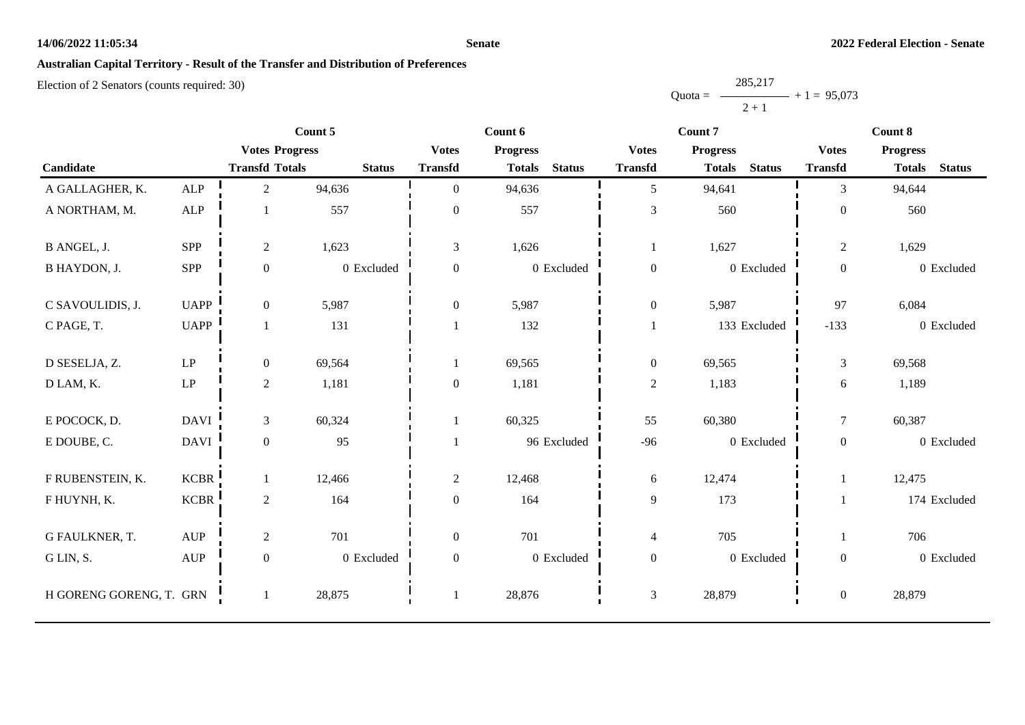#### **Senate**

# **Australian Capital Territory - Result of the Transfer and Distribution of Preferences**

|           | 285,217 |               |
|-----------|---------|---------------|
| $Quota =$ |         | $+1 = 95,073$ |
|           | $2+1$   |               |

|                         |                                  | Count 5               |               | Count 6          |                 |               |                  | Count 7                        |                  | Count 8         |               |  |
|-------------------------|----------------------------------|-----------------------|---------------|------------------|-----------------|---------------|------------------|--------------------------------|------------------|-----------------|---------------|--|
|                         |                                  | <b>Votes Progress</b> |               | <b>Votes</b>     | <b>Progress</b> |               | <b>Votes</b>     | <b>Progress</b>                | <b>Votes</b>     | <b>Progress</b> |               |  |
| Candidate               |                                  | <b>Transfd Totals</b> | <b>Status</b> | <b>Transfd</b>   | <b>Totals</b>   | <b>Status</b> | <b>Transfd</b>   | <b>Status</b><br><b>Totals</b> | <b>Transfd</b>   | <b>Totals</b>   | <b>Status</b> |  |
| A GALLAGHER, K.         | ALP                              | $\overline{2}$        | 94,636        | $\mathbf{0}$     | 94,636          |               | 5                | 94,641                         | 3                | 94,644          |               |  |
| A NORTHAM, M.           | ${\sf ALP}$                      |                       | 557           | $\boldsymbol{0}$ | 557             |               | $\mathfrak 3$    | 560                            | $\boldsymbol{0}$ | 560             |               |  |
| B ANGEL, J.             | SPP                              | $\overline{c}$        | 1,623         | 3                | 1,626           |               | $\mathbf{1}$     | 1,627                          | $\overline{c}$   | 1,629           |               |  |
| B HAYDON, J.            | SPP                              | $\boldsymbol{0}$      | 0 Excluded    | $\boldsymbol{0}$ |                 | 0 Excluded    | $\boldsymbol{0}$ | 0 Excluded                     | $\mathbf{0}$     | 0 Excluded      |               |  |
| C SAVOULIDIS, J.        | <b>UAPP</b>                      | $\overline{0}$        | 5,987         | $\boldsymbol{0}$ | 5,987           |               | $\boldsymbol{0}$ | 5,987                          | 97               | 6,084           |               |  |
| C PAGE, T.              | <b>UAPP</b>                      |                       | 131           |                  | 132             |               | $\mathbf{1}$     | 133 Excluded                   | $-133$           | 0 Excluded      |               |  |
| D SESELJA, Z.           | $\mathbf{L}\mathbf{P}$           | $\overline{0}$        | 69,564        |                  | 69,565          |               | $\boldsymbol{0}$ | 69,565                         | 3                | 69,568          |               |  |
| D LAM, K.               | $\ensuremath{\mathrm{LP}}$       | $\overline{2}$        | 1,181         | $\mathbf{0}$     | 1,181           |               | $\sqrt{2}$       | 1,183                          | 6                | 1,189           |               |  |
| E POCOCK, D.            | <b>DAVI</b>                      | $\overline{3}$        | 60,324        | $\mathbf{1}$     | 60,325          |               | 55               | 60,380                         | $\boldsymbol{7}$ | 60,387          |               |  |
| E DOUBE, C.             | <b>DAVI</b>                      | $\boldsymbol{0}$      | 95            |                  | 96 Excluded     |               | $-96$            | 0 Excluded                     | $\overline{0}$   | 0 Excluded      |               |  |
| F RUBENSTEIN, K.        | <b>KCBR</b>                      |                       | 12,466        | $\overline{c}$   | 12,468          |               | 6                | 12,474                         | $\mathbf{1}$     | 12,475          |               |  |
| F HUYNH, K.             | <b>KCBR</b>                      | $\overline{2}$        | 164           | $\overline{0}$   | 164             |               | 9                | 173                            |                  | 174 Excluded    |               |  |
| G FAULKNER, T.          | $\mathbf{A}\mathbf{U}\mathbf{P}$ | $\overline{c}$        | 701           | $\mathbf{0}$     | 701             |               | $\overline{4}$   | 705                            |                  | 706             |               |  |
| G LIN, S.               | $\mathbf{A}\mathbf{U}\mathbf{P}$ | $\boldsymbol{0}$      | 0 Excluded    | $\boldsymbol{0}$ |                 | 0 Excluded    | $\boldsymbol{0}$ | 0 Excluded                     | $\boldsymbol{0}$ | 0 Excluded      |               |  |
| H GORENG GORENG, T. GRN |                                  |                       | 28,875        | $\overline{1}$   | 28,876          |               | $\mathfrak{Z}$   | 28,879                         | $\mathbf{0}$     | 28,879          |               |  |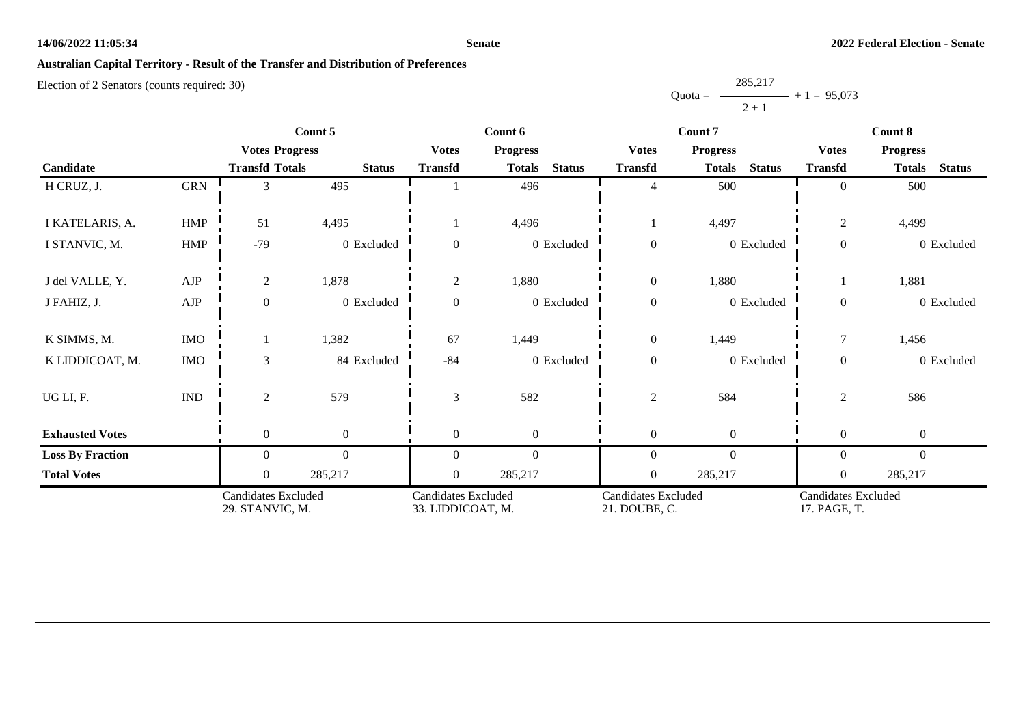#### **Senate**

# **Australian Capital Territory - Result of the Transfer and Distribution of Preferences**

|           | 285,217       |  |
|-----------|---------------|--|
| $Quota =$ | $+1 = 95,073$ |  |
|           | $2 + 1$       |  |

| Count 5                 |                             |                                               |                  |                                                 | Count 6                        |                                      | Count 7                        | Count 8                                    |                                |  |
|-------------------------|-----------------------------|-----------------------------------------------|------------------|-------------------------------------------------|--------------------------------|--------------------------------------|--------------------------------|--------------------------------------------|--------------------------------|--|
|                         |                             | <b>Votes Progress</b>                         |                  | <b>Votes</b>                                    | <b>Progress</b>                | <b>Votes</b>                         | <b>Progress</b>                | <b>Votes</b>                               | <b>Progress</b>                |  |
| Candidate               |                             | <b>Transfd Totals</b>                         | <b>Status</b>    | <b>Transfd</b>                                  | <b>Status</b><br><b>Totals</b> | <b>Transfd</b>                       | <b>Status</b><br><b>Totals</b> | <b>Transfd</b>                             | <b>Totals</b><br><b>Status</b> |  |
| H CRUZ, J.              | <b>GRN</b>                  | 3                                             | 495              |                                                 | 496                            | $\overline{4}$                       | 500                            | $\overline{0}$                             | 500                            |  |
| I KATELARIS, A.         | <b>HMP</b>                  | 51                                            | 4,495            |                                                 | 4,496                          |                                      | 4,497                          | $\mathfrak{2}$                             | 4,499                          |  |
| I STANVIC, M.           | <b>HMP</b>                  | $-79$                                         | 0 Excluded       | $\theta$                                        | 0 Excluded                     | $\boldsymbol{0}$                     | 0 Excluded                     | $\mathbf{0}$                               | 0 Excluded                     |  |
| J del VALLE, Y.         | ${\rm AJP}$                 | $\overline{c}$                                | 1,878            | 2                                               | 1,880                          | $\boldsymbol{0}$                     | 1,880                          |                                            | 1,881                          |  |
| J FAHIZ, J.             | ${\rm AJP}$                 | $\boldsymbol{0}$                              | 0 Excluded       | $\mathbf{0}$                                    | 0 Excluded                     | $\boldsymbol{0}$                     | 0 Excluded                     | $\mathbf{0}$                               | 0 Excluded                     |  |
| K SIMMS, M.             | $\rm{IMO}$                  |                                               | 1,382            | 67                                              | 1,449                          | $\boldsymbol{0}$                     | 1,449                          | $\overline{7}$                             | 1,456                          |  |
| K LIDDICOAT, M.         | <b>IMO</b>                  | $\mathfrak{Z}$                                | 84 Excluded      | $-84$                                           | 0 Excluded                     | $\boldsymbol{0}$                     | 0 Excluded                     | $\overline{0}$                             | 0 Excluded                     |  |
| UG LI, F.               | $\mathop{\rm IND}\nolimits$ | $\overline{c}$                                | 579              | 3                                               | 582                            | $\mathbf{2}$                         | 584                            | $\mathfrak{2}$                             | 586                            |  |
| <b>Exhausted Votes</b>  |                             | $\overline{0}$                                | $\boldsymbol{0}$ | $\overline{0}$                                  | $\boldsymbol{0}$               | $\boldsymbol{0}$                     | $\theta$                       | $\boldsymbol{0}$                           | $\boldsymbol{0}$               |  |
| <b>Loss By Fraction</b> |                             | $\overline{0}$                                | $\mathbf{0}$     | $\Omega$                                        | $\boldsymbol{0}$               | $\mathbf{0}$                         | $\mathbf{0}$                   | $\overline{0}$                             | $\boldsymbol{0}$               |  |
| <b>Total Votes</b>      |                             | $\mathbf{0}$                                  | 285,217          | $\theta$                                        | 285,217                        | $\boldsymbol{0}$                     | 285,217                        | $\mathbf{0}$                               | 285,217                        |  |
|                         |                             | <b>Candidates Excluded</b><br>29. STANVIC, M. |                  | <b>Candidates Excluded</b><br>33. LIDDICOAT, M. |                                | Candidates Excluded<br>21. DOUBE, C. |                                | <b>Candidates Excluded</b><br>17. PAGE, T. |                                |  |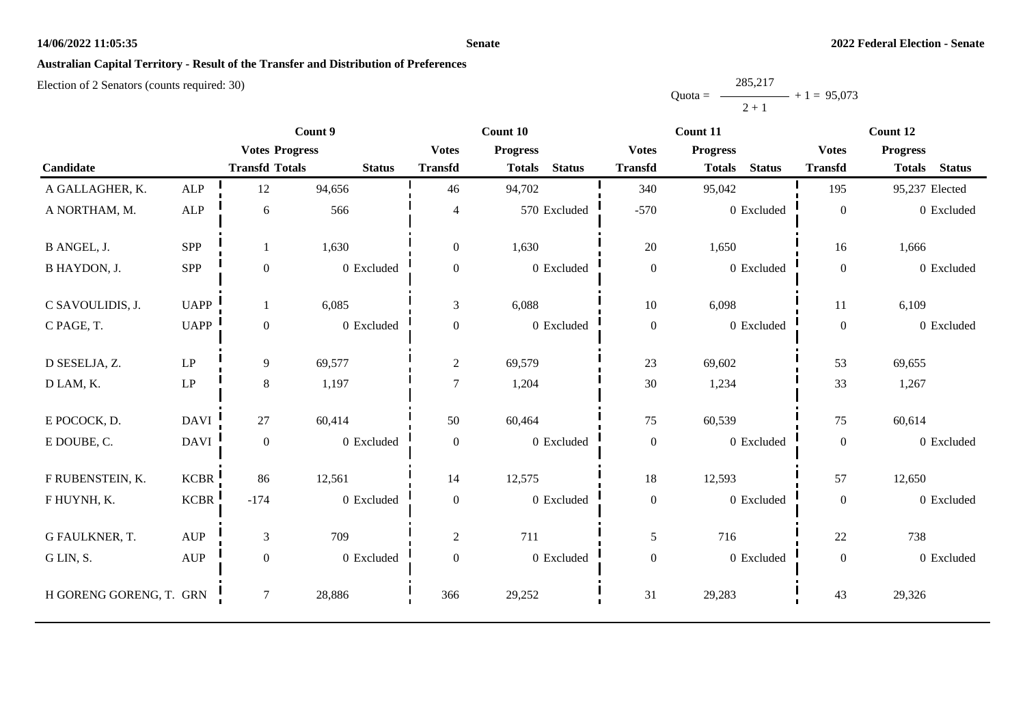#### **Senate**

# **Australian Capital Territory - Result of the Transfer and Distribution of Preferences**

|           | 285,217 |               |
|-----------|---------|---------------|
| $Quota =$ |         | $+1 = 95,073$ |
|           | $2 + 1$ |               |

|                         |             | Count 9               |               |                  | Count 10                       |                  | Count 11                       | Count 12         |                                |  |
|-------------------------|-------------|-----------------------|---------------|------------------|--------------------------------|------------------|--------------------------------|------------------|--------------------------------|--|
|                         |             | <b>Votes Progress</b> |               | <b>Votes</b>     | <b>Progress</b>                | <b>Votes</b>     | <b>Progress</b>                | <b>Votes</b>     | <b>Progress</b>                |  |
| Candidate               |             | <b>Transfd Totals</b> | <b>Status</b> | <b>Transfd</b>   | <b>Status</b><br><b>Totals</b> | <b>Transfd</b>   | <b>Status</b><br><b>Totals</b> | <b>Transfd</b>   | <b>Status</b><br><b>Totals</b> |  |
| A GALLAGHER, K.         | ALP         | 12                    | 94,656        | 46               | 94,702                         | 340              | 95,042                         | 195              | 95,237 Elected                 |  |
| A NORTHAM, M.           | ALP         | 6                     | 566           | $\overline{4}$   | 570 Excluded                   | $-570$           | 0 Excluded                     | $\boldsymbol{0}$ | 0 Excluded                     |  |
| B ANGEL, J.             | SPP         |                       | 1,630         | $\overline{0}$   | 1,630                          | $20\,$           | 1,650                          | 16               | 1,666                          |  |
| <b>B HAYDON, J.</b>     | <b>SPP</b>  | $\boldsymbol{0}$      | 0 Excluded    | $\mathbf{0}$     | 0 Excluded                     | $\boldsymbol{0}$ | 0 Excluded                     | $\boldsymbol{0}$ | 0 Excluded                     |  |
| C SAVOULIDIS, J.        | <b>UAPP</b> |                       | 6,085         | $\mathfrak{Z}$   | 6,088                          | $10\,$           | 6,098                          | 11               | 6,109                          |  |
| C PAGE, T.              | <b>UAPP</b> | $\overline{0}$        | 0 Excluded    | $\overline{0}$   | 0 Excluded                     | $\boldsymbol{0}$ | 0 Excluded                     | $\boldsymbol{0}$ | 0 Excluded                     |  |
| D SESELJA, Z.           | LP          | 9                     | 69,577        | $\overline{c}$   | 69,579                         | 23               | 69,602                         | 53               | 69,655                         |  |
| D LAM, K.               | LP          | $8\,$                 | 1,197         | $\overline{7}$   | 1,204                          | 30               | 1,234                          | 33               | 1,267                          |  |
| E POCOCK, D.            | <b>DAVI</b> | 27                    | 60,414        | 50               | 60,464                         | 75               | 60,539                         | 75               | 60,614                         |  |
| E DOUBE, C.             | <b>DAVI</b> | $\overline{0}$        | 0 Excluded    | $\overline{0}$   | 0 Excluded                     | $\boldsymbol{0}$ | 0 Excluded                     | $\boldsymbol{0}$ | 0 Excluded                     |  |
| F RUBENSTEIN, K.        | <b>KCBR</b> | 86                    | 12,561        | 14               | 12,575                         | $18\,$           | 12,593                         | 57               | 12,650                         |  |
| F HUYNH, K.             | <b>KCBR</b> | $-174$                | 0 Excluded    | $\mathbf{0}$     | $0$ Excluded                   | $\boldsymbol{0}$ | 0 Excluded                     | $\mathbf{0}$     | 0 Excluded                     |  |
| G FAULKNER, T.          | <b>AUP</b>  | 3                     | 709           | $\mathbf{2}$     | 711                            | 5                | 716                            | 22               | 738                            |  |
| G LIN, S.               | <b>AUP</b>  | $\overline{0}$        | 0 Excluded    | $\boldsymbol{0}$ | 0 Excluded                     | $\boldsymbol{0}$ | 0 Excluded                     | $\boldsymbol{0}$ | 0 Excluded                     |  |
| H GORENG GORENG, T. GRN |             | $\tau$                | 28,886        | 366              | 29,252                         | 31               | 29,283                         | 43               | 29,326                         |  |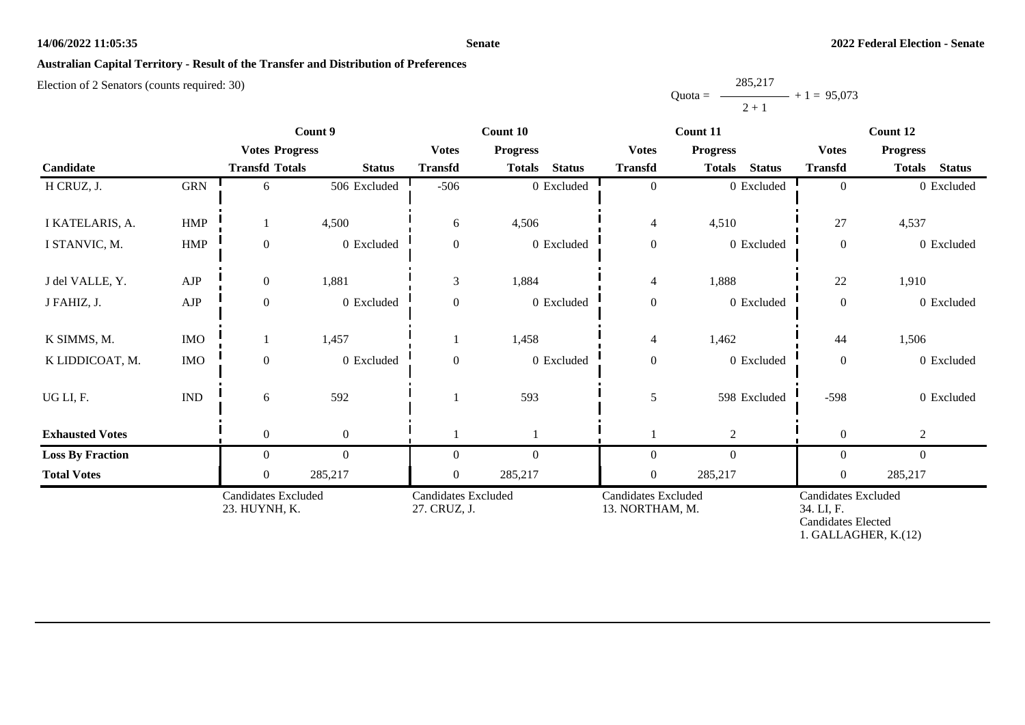#### **Senate**

# **Australian Capital Territory - Result of the Transfer and Distribution of Preferences**

|           | 285,217 |               |
|-----------|---------|---------------|
| $Quota =$ |         | $+1 = 95,073$ |
|           | $2 + 1$ |               |

|                         | Count 9                     |                                             |                  | Count 10                                   |                 |               | Count 11                                      | Count 12                       |                                                                                        |                                |
|-------------------------|-----------------------------|---------------------------------------------|------------------|--------------------------------------------|-----------------|---------------|-----------------------------------------------|--------------------------------|----------------------------------------------------------------------------------------|--------------------------------|
|                         |                             | <b>Votes Progress</b>                       |                  | <b>Votes</b>                               | <b>Progress</b> |               | <b>Votes</b>                                  | <b>Progress</b>                |                                                                                        | <b>Progress</b>                |
| Candidate               |                             | <b>Transfd Totals</b>                       | <b>Status</b>    | <b>Transfd</b>                             | <b>Totals</b>   | <b>Status</b> | <b>Transfd</b>                                | <b>Totals</b><br><b>Status</b> | <b>Transfd</b>                                                                         | <b>Status</b><br><b>Totals</b> |
| H CRUZ, J.              | <b>GRN</b>                  | 6                                           | 506 Excluded     | $-506$                                     |                 | 0 Excluded    | $\mathbf{0}$                                  | 0 Excluded                     | $\overline{0}$                                                                         | 0 Excluded                     |
| I KATELARIS, A.         | <b>HMP</b>                  |                                             | 4,500            | 6                                          | 4,506           |               | $\overline{4}$                                | 4,510                          | 27                                                                                     | 4,537                          |
| I STANVIC, M.           | <b>HMP</b>                  | $\boldsymbol{0}$                            | 0 Excluded       | $\mathbf{0}$                               |                 | 0 Excluded    | $\boldsymbol{0}$                              | 0 Excluded                     | $\boldsymbol{0}$                                                                       | 0 Excluded                     |
| J del VALLE, Y.         | ${\rm AJP}$                 | $\boldsymbol{0}$                            | 1,881            | 3                                          | 1,884           |               | $\overline{4}$                                | 1,888                          | 22                                                                                     | 1,910                          |
| J FAHIZ, J.             | ${\rm AJP}$                 | $\boldsymbol{0}$                            | 0 Excluded       | $\boldsymbol{0}$                           |                 | 0 Excluded    | $\boldsymbol{0}$                              | 0 Excluded                     | $\boldsymbol{0}$                                                                       | 0 Excluded                     |
| K SIMMS, M.             | <b>IMO</b>                  |                                             | 1,457            |                                            | 1,458           |               | $\overline{4}$                                | 1,462                          | 44                                                                                     | 1,506                          |
| K LIDDICOAT, M.         | <b>IMO</b>                  | $\boldsymbol{0}$                            | 0 Excluded       | $\mathbf{0}$                               |                 | 0 Excluded    | $\boldsymbol{0}$                              | 0 Excluded                     | $\mathbf{0}$                                                                           | 0 Excluded                     |
| UG LI, F.               | $\mathop{\rm IND}\nolimits$ | 6                                           | 592              |                                            | 593             |               | 5                                             | 598 Excluded                   | $-598$                                                                                 | 0 Excluded                     |
| <b>Exhausted Votes</b>  |                             | $\overline{0}$                              | $\boldsymbol{0}$ |                                            |                 |               |                                               | 2                              | $\boldsymbol{0}$                                                                       | $\overline{2}$                 |
| <b>Loss By Fraction</b> |                             | $\overline{0}$                              | $\mathbf{0}$     | $\Omega$                                   | $\mathbf{0}$    |               | $\mathbf{0}$                                  | $\mathbf{0}$                   | $\mathbf{0}$                                                                           | $\mathbf{0}$                   |
| <b>Total Votes</b>      |                             | $\overline{0}$                              | 285,217          | $\overline{0}$                             | 285,217         |               | $\boldsymbol{0}$                              | 285,217                        | $\boldsymbol{0}$                                                                       | 285,217                        |
|                         |                             | <b>Candidates Excluded</b><br>23. HUYNH, K. |                  | <b>Candidates Excluded</b><br>27. CRUZ, J. |                 |               | <b>Candidates Excluded</b><br>13. NORTHAM, M. |                                | Candidates Excluded<br>34. LI, F.<br><b>Candidates Elected</b><br>1. GALLAGHER, K.(12) |                                |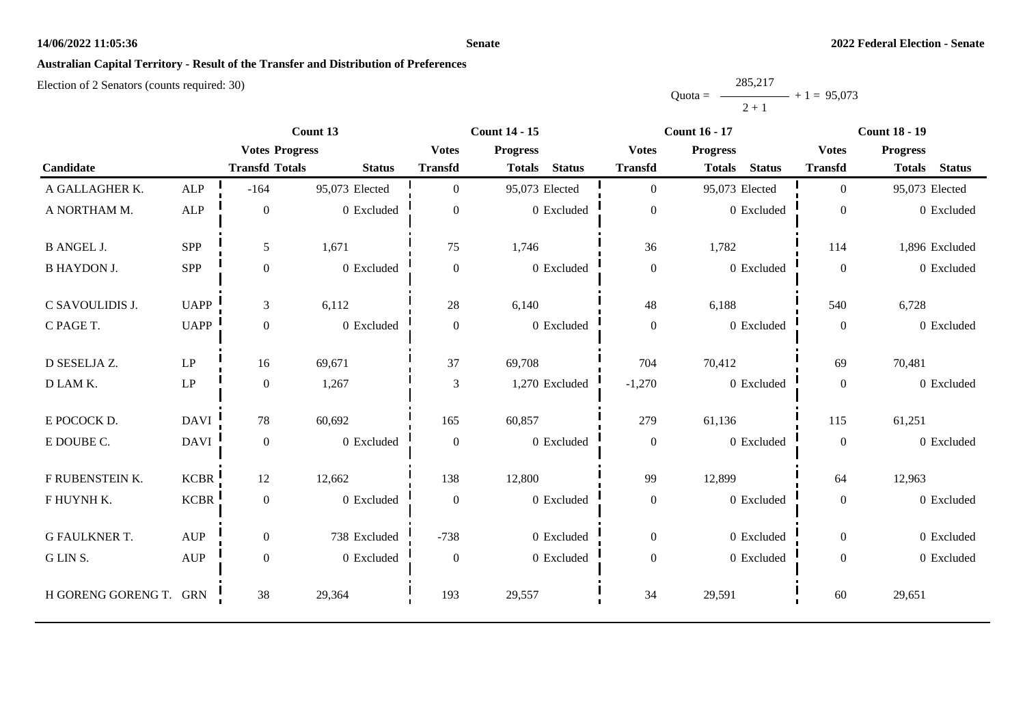#### **Senate**

## **Australian Capital Territory - Result of the Transfer and Distribution of Preferences**

|           | 285,217 |               |
|-----------|---------|---------------|
| $Quota =$ |         | $+1 = 95,073$ |
|           | $2 + 1$ |               |

|                      |                                  | Count 13              |                | <b>Count 14 - 15</b> |                 |                | <b>Count 16 - 17</b> |                 |               | <b>Count 18 - 19</b> |                 |                |
|----------------------|----------------------------------|-----------------------|----------------|----------------------|-----------------|----------------|----------------------|-----------------|---------------|----------------------|-----------------|----------------|
|                      |                                  | <b>Votes Progress</b> |                | <b>Votes</b>         | <b>Progress</b> |                | <b>Votes</b>         | <b>Progress</b> |               | <b>Votes</b>         | <b>Progress</b> |                |
| Candidate            |                                  | <b>Transfd Totals</b> | <b>Status</b>  | <b>Transfd</b>       | <b>Totals</b>   | <b>Status</b>  | <b>Transfd</b>       | <b>Totals</b>   | <b>Status</b> | <b>Transfd</b>       | <b>Totals</b>   | <b>Status</b>  |
| A GALLAGHER K.       | ALP                              | $-164$                | 95,073 Elected | $\Omega$             | 95,073 Elected  |                | $\mathbf{0}$         | 95,073 Elected  |               | $\Omega$             | 95,073 Elected  |                |
| A NORTHAM M.         | ${\sf ALP}$                      | $\overline{0}$        | 0 Excluded     | $\overline{0}$       |                 | 0 Excluded     | $\boldsymbol{0}$     |                 | 0 Excluded    | $\overline{0}$       |                 | 0 Excluded     |
| <b>B ANGEL J.</b>    | SPP                              | 5                     | 1,671          | 75                   | 1,746           |                | 36                   | 1,782           |               | 114                  |                 | 1,896 Excluded |
| <b>B HAYDON J.</b>   | SPP                              | $\boldsymbol{0}$      | 0 Excluded     | $\overline{0}$       |                 | 0 Excluded     | $\boldsymbol{0}$     |                 | 0 Excluded    | $\overline{0}$       |                 | 0 Excluded     |
| C SAVOULIDIS J.      | <b>UAPP</b>                      | 3                     | 6,112          | 28                   | 6,140           |                | 48                   | 6,188           |               | 540                  | 6,728           |                |
| C PAGE T.            | <b>UAPP</b>                      | $\theta$              | 0 Excluded     | $\overline{0}$       |                 | 0 Excluded     | $\mathbf{0}$         |                 | 0 Excluded    | $\Omega$             |                 | 0 Excluded     |
| D SESELJA Z.         | $\ensuremath{\mathrm{LP}}$       | 16                    | 69,671         | 37                   | 69,708          |                | 704                  | 70,412          |               | 69                   | 70,481          |                |
| D LAM K.             | $\mathbf{L}\mathbf{P}$           | $\mathbf{0}$          | 1,267          | 3                    |                 | 1,270 Excluded | $-1,270$             |                 | 0 Excluded    | $\overline{0}$       |                 | 0 Excluded     |
| E POCOCK D.          | <b>DAVI</b>                      | 78                    | 60,692         | 165                  | 60,857          |                | 279                  | 61,136          |               | 115                  | 61,251          |                |
| E DOUBE C.           | <b>DAVI</b>                      | $\mathbf{0}$          | 0 Excluded     | $\boldsymbol{0}$     |                 | 0 Excluded     | $\boldsymbol{0}$     |                 | 0 Excluded    | $\overline{0}$       |                 | 0 Excluded     |
| F RUBENSTEIN K.      | <b>KCBR</b>                      | 12                    | 12,662         | 138                  | 12,800          |                | 99                   | 12,899          |               | 64                   | 12,963          |                |
| F HUYNH K.           | <b>KCBR</b>                      | $\overline{0}$        | 0 Excluded     | $\overline{0}$       |                 | 0 Excluded     | $\boldsymbol{0}$     |                 | 0 Excluded    | $\overline{0}$       |                 | 0 Excluded     |
| <b>G FAULKNER T.</b> | <b>AUP</b>                       | $\overline{0}$        | 738 Excluded   | $-738$               |                 | 0 Excluded     | $\boldsymbol{0}$     |                 | 0 Excluded    | $\overline{0}$       |                 | 0 Excluded     |
| G LIN S.             | $\mathbf{A}\mathbf{U}\mathbf{P}$ | $\mathbf{0}$          | 0 Excluded     | $\boldsymbol{0}$     |                 | 0 Excluded     | $\boldsymbol{0}$     |                 | 0 Excluded    | $\overline{0}$       |                 | 0 Excluded     |
| H GORENG GORENG T.   | <b>GRN</b>                       | 38                    | 29,364         | 193                  | 29,557          |                | 34                   | 29,591          |               | 60                   | 29,651          |                |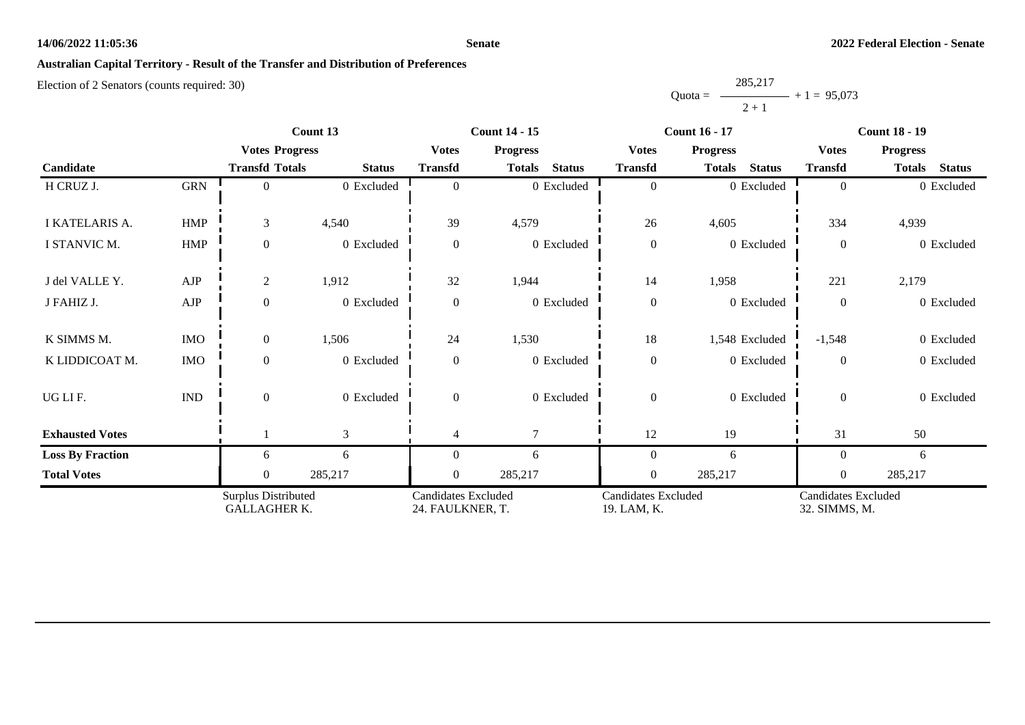#### **Senate**

# **Australian Capital Territory - Result of the Transfer and Distribution of Preferences**

|           | 285,217 |               |
|-----------|---------|---------------|
| $Quota =$ |         | $+1 = 95,073$ |
|           | $2 + 1$ |               |

|                         |                             |                                                   | Count 13                                       |                | <b>Count 14 - 15</b>           |                                           | <b>Count 16 - 17</b>           | <b>Count 18 - 19</b>                 |                                |  |
|-------------------------|-----------------------------|---------------------------------------------------|------------------------------------------------|----------------|--------------------------------|-------------------------------------------|--------------------------------|--------------------------------------|--------------------------------|--|
|                         |                             | <b>Votes Progress</b>                             |                                                | <b>Votes</b>   | <b>Progress</b>                | <b>Votes</b>                              | <b>Progress</b>                | <b>Votes</b>                         | <b>Progress</b>                |  |
| Candidate               |                             | <b>Transfd Totals</b>                             | <b>Status</b>                                  | <b>Transfd</b> | <b>Status</b><br><b>Totals</b> | <b>Transfd</b>                            | <b>Status</b><br><b>Totals</b> | <b>Transfd</b>                       | <b>Totals</b><br><b>Status</b> |  |
| H CRUZ J.               | <b>GRN</b>                  | $\Omega$                                          | 0 Excluded                                     | $\Omega$       | 0 Excluded                     | $\mathbf{0}$                              | 0 Excluded                     | $\Omega$                             | 0 Excluded                     |  |
| I KATELARIS A.          | <b>HMP</b>                  | 3                                                 | 4,540                                          | 39             | 4,579                          | 26                                        | 4,605                          | 334                                  | 4,939                          |  |
| I STANVIC M.            | <b>HMP</b>                  | $\overline{0}$                                    | 0 Excluded                                     | $\theta$       | 0 Excluded                     | $\boldsymbol{0}$                          | 0 Excluded                     | $\overline{0}$                       | 0 Excluded                     |  |
| J del VALLE Y.          | AJP                         | $\overline{2}$                                    | 1,912                                          | 32             | 1,944                          | 14                                        | 1,958                          | 221                                  | 2,179                          |  |
| J FAHIZ J.              | ${\rm AJP}$                 | $\boldsymbol{0}$                                  | 0 Excluded                                     | $\overline{0}$ | 0 Excluded                     | $\boldsymbol{0}$<br>0 Excluded            |                                | $\overline{0}$                       | 0 Excluded                     |  |
| K SIMMS M.              | <b>IMO</b>                  | $\mathbf{0}$                                      | 1,506                                          | 24             | 1,530                          | $18\,$                                    | 1,548 Excluded                 | $-1,548$                             | 0 Excluded                     |  |
| K LIDDICOAT M.          | <b>IMO</b>                  | $\boldsymbol{0}$                                  | 0 Excluded                                     | $\theta$       | 0 Excluded                     | $\boldsymbol{0}$                          | 0 Excluded                     | $\Omega$                             | 0 Excluded                     |  |
| UGLIF.                  | $\mathop{\rm IND}\nolimits$ | $\mathbf{0}$                                      | 0 Excluded                                     | $\theta$       | 0 Excluded                     | $\boldsymbol{0}$                          | 0 Excluded                     | $\boldsymbol{0}$                     | 0 Excluded                     |  |
| <b>Exhausted Votes</b>  |                             |                                                   | 3                                              | 4              | $\tau$                         | 12                                        | 19                             | 31                                   | 50                             |  |
| <b>Loss By Fraction</b> |                             | 6                                                 | 6                                              | $\Omega$       | 6                              | $\boldsymbol{0}$                          | 6                              | $\theta$                             | 6                              |  |
| <b>Total Votes</b>      |                             | $\overline{0}$                                    | 285,217                                        | $\theta$       | 285,217                        | $\boldsymbol{0}$                          | 285,217                        | $\overline{0}$                       | 285,217                        |  |
|                         |                             | <b>Surplus Distributed</b><br><b>GALLAGHER K.</b> | <b>Candidates Excluded</b><br>24. FAULKNER, T. |                |                                | <b>Candidates Excluded</b><br>19. LAM, K. |                                | Candidates Excluded<br>32. SIMMS, M. |                                |  |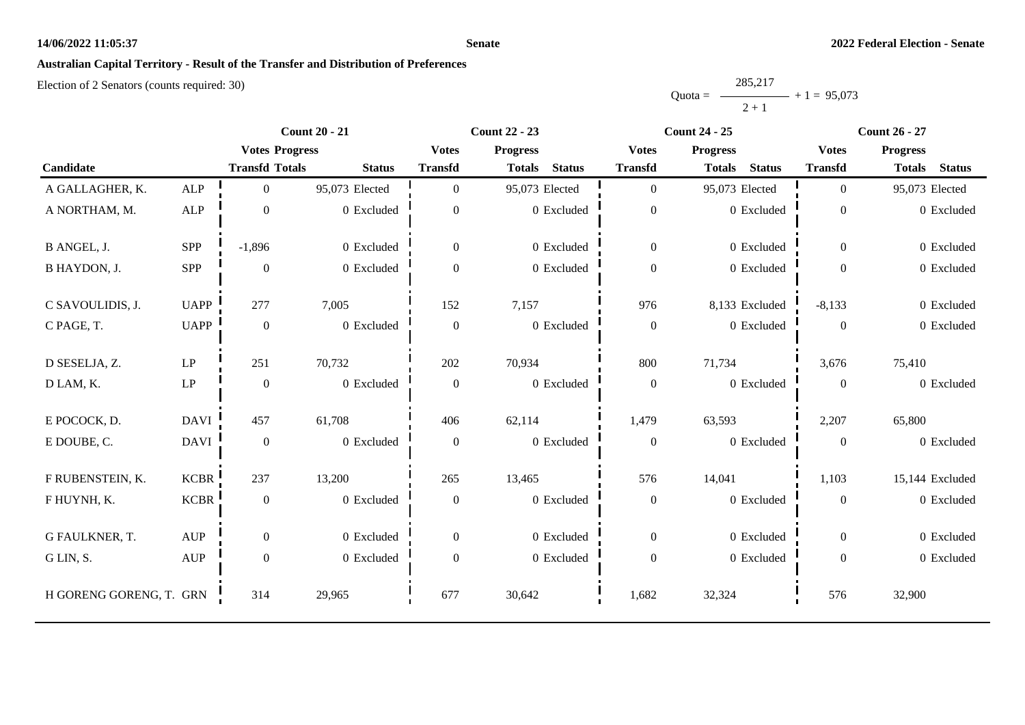#### **Senate**

# **Australian Capital Territory - Result of the Transfer and Distribution of Preferences**

|           | 285,217 |               |
|-----------|---------|---------------|
| $Quota =$ |         | $+1 = 95,073$ |
|           | $2 + 1$ |               |

|                         |                            | <b>Count 20 - 21</b>  |                |                  | <b>Count 22 - 23</b>           |                  | <b>Count 24 - 25</b>           | <b>Count 26 - 27</b> |                                |  |
|-------------------------|----------------------------|-----------------------|----------------|------------------|--------------------------------|------------------|--------------------------------|----------------------|--------------------------------|--|
|                         |                            | <b>Votes Progress</b> |                | <b>Votes</b>     | <b>Progress</b>                | <b>Votes</b>     | <b>Progress</b>                | <b>Votes</b>         | <b>Progress</b>                |  |
| Candidate               |                            | <b>Transfd Totals</b> | <b>Status</b>  | <b>Transfd</b>   | <b>Status</b><br><b>Totals</b> | <b>Transfd</b>   | <b>Status</b><br><b>Totals</b> | <b>Transfd</b>       | <b>Status</b><br><b>Totals</b> |  |
| A GALLAGHER, K.         | ALP                        | $\Omega$              | 95,073 Elected | $\Omega$         | 95,073 Elected                 | $\overline{0}$   | 95,073 Elected                 | $\overline{0}$       | 95,073 Elected                 |  |
| A NORTHAM, M.           | ${\sf ALP}$                | $\mathbf{0}$          | 0 Excluded     | $\overline{0}$   | 0 Excluded                     | $\boldsymbol{0}$ | 0 Excluded                     | $\theta$             | 0 Excluded                     |  |
| B ANGEL, J.             | SPP                        | $-1,896$              | 0 Excluded     | $\theta$         | 0 Excluded                     | $\mathbf{0}$     | 0 Excluded                     | $\overline{0}$       | 0 Excluded                     |  |
| B HAYDON, J.            | <b>SPP</b>                 | $\theta$              | 0 Excluded     | $\Omega$         | 0 Excluded                     | $\boldsymbol{0}$ | 0 Excluded                     | $\theta$             | 0 Excluded                     |  |
| C SAVOULIDIS, J.        | <b>UAPP</b>                | 277                   | 7,005          | 152              | 7,157                          | 976              | 8,133 Excluded                 | $-8,133$             | 0 Excluded                     |  |
| C PAGE, T.              | <b>UAPP</b>                | $\theta$              | 0 Excluded     | $\theta$         | 0 Excluded                     | $\boldsymbol{0}$ | 0 Excluded                     | $\overline{0}$       | 0 Excluded                     |  |
| D SESELJA, Z.           | $\ensuremath{\mathrm{LP}}$ | 251                   | 70,732         | 202              | 70,934                         | 800              | 71,734                         | 3,676                | 75,410                         |  |
| D LAM, K.               | $\mathbf{L}\mathbf{P}$     | $\boldsymbol{0}$      | 0 Excluded     | $\overline{0}$   | 0 Excluded                     | $\boldsymbol{0}$ | 0 Excluded                     | $\overline{0}$       | 0 Excluded                     |  |
| E POCOCK, D.            | DAVI                       | 457                   | 61,708         | 406              | 62,114                         | 1,479            | 63,593                         | 2,207                | 65,800                         |  |
| E DOUBE, C.             | DAVI                       | $\boldsymbol{0}$      | 0 Excluded     | $\overline{0}$   | 0 Excluded                     | $\boldsymbol{0}$ | 0 Excluded                     | $\overline{0}$       | 0 Excluded                     |  |
| F RUBENSTEIN, K.        | <b>KCBR</b>                | 237                   | 13,200         | 265              | 13,465                         | 576              | 14,041                         | 1,103                | 15,144 Excluded                |  |
| F HUYNH, K.             | <b>KCBR</b>                | $\mathbf{0}$          | 0 Excluded     | $\overline{0}$   | 0 Excluded                     | $\boldsymbol{0}$ | 0 Excluded                     | $\Omega$             | 0 Excluded                     |  |
| G FAULKNER, T.          | <b>AUP</b>                 | $\overline{0}$        | 0 Excluded     | $\overline{0}$   | 0 Excluded                     | $\overline{0}$   | 0 Excluded                     | $\overline{0}$       | 0 Excluded                     |  |
| G LIN, S.               | <b>AUP</b>                 | $\boldsymbol{0}$      | 0 Excluded     | $\boldsymbol{0}$ | 0 Excluded                     | $\boldsymbol{0}$ | 0 Excluded                     | $\overline{0}$       | 0 Excluded                     |  |
| H GORENG GORENG, T. GRN |                            | 314                   | 29,965         | 677              | 30,642                         | 1,682            | 32,324                         | 576                  | 32,900                         |  |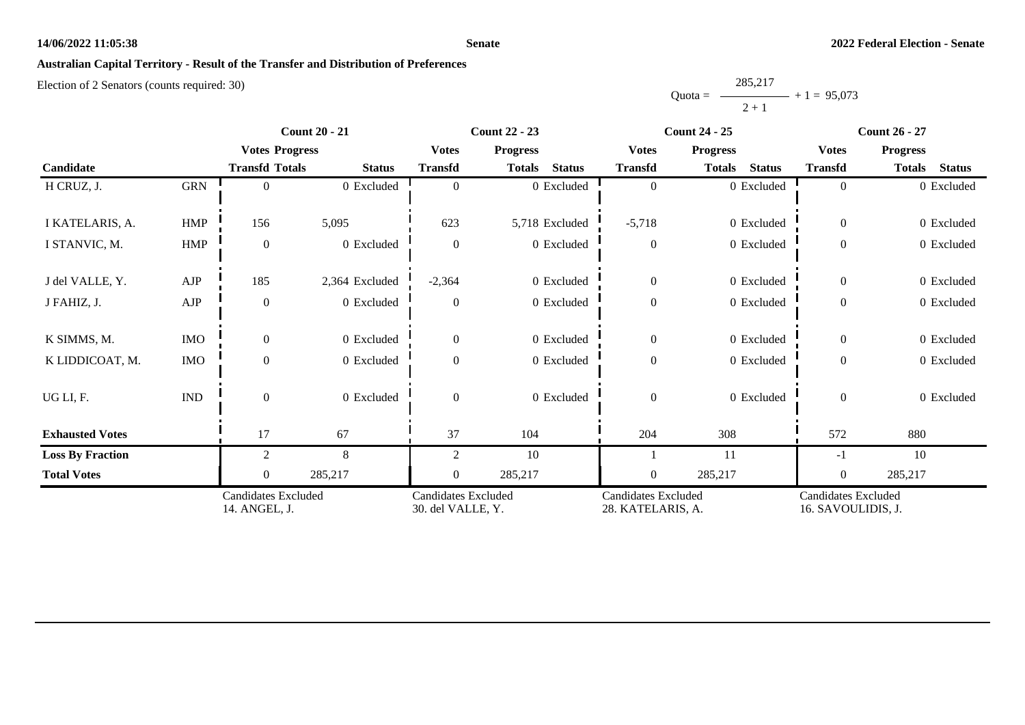#### **Senate**

# **Australian Capital Territory - Result of the Transfer and Distribution of Preferences**

|           | 285,217 |               |
|-----------|---------|---------------|
| $Quota =$ |         | $+1 = 95,073$ |
|           | $2 + 1$ |               |

|                         |                                      |                       | <b>Count 20 - 21</b>                            |                | <b>Count 22 - 23</b>                            |                  | <b>Count 24 - 25</b>                      | <b>Count 26 - 27</b> |                                |  |
|-------------------------|--------------------------------------|-----------------------|-------------------------------------------------|----------------|-------------------------------------------------|------------------|-------------------------------------------|----------------------|--------------------------------|--|
|                         |                                      | <b>Votes Progress</b> |                                                 | <b>Votes</b>   | <b>Progress</b>                                 | <b>Votes</b>     | <b>Progress</b>                           | <b>Votes</b>         | <b>Progress</b>                |  |
| Candidate               |                                      | <b>Transfd Totals</b> | <b>Status</b>                                   | <b>Transfd</b> | <b>Status</b><br><b>Totals</b>                  | <b>Transfd</b>   | <b>Status</b><br><b>Totals</b>            | <b>Transfd</b>       | <b>Totals</b><br><b>Status</b> |  |
| H CRUZ, J.              | <b>GRN</b>                           | $\Omega$              | 0 Excluded                                      | $\Omega$       | 0 Excluded                                      | $\overline{0}$   | 0 Excluded                                | $\overline{0}$       | 0 Excluded                     |  |
| I KATELARIS, A.         | <b>HMP</b>                           | 156                   | 5,095                                           | 623            | 5,718 Excluded                                  | $-5,718$         | 0 Excluded                                | $\mathbf{0}$         | 0 Excluded                     |  |
| I STANVIC, M.           | <b>HMP</b>                           | $\boldsymbol{0}$      | 0 Excluded                                      | $\Omega$       | 0 Excluded                                      | $\boldsymbol{0}$ | 0 Excluded                                | $\overline{0}$       | 0 Excluded                     |  |
| J del VALLE, Y.         | AJP                                  | 185                   | 2,364 Excluded                                  | $-2,364$       | 0 Excluded                                      | $\boldsymbol{0}$ | 0 Excluded                                | $\overline{0}$       | 0 Excluded                     |  |
| J FAHIZ, J.             | AJP                                  | $\boldsymbol{0}$      | 0 Excluded                                      | $\theta$       | 0 Excluded                                      | $\boldsymbol{0}$ | 0 Excluded                                | $\mathbf{0}$         | 0 Excluded                     |  |
| K SIMMS, M.             | <b>IMO</b>                           | $\overline{0}$        | 0 Excluded                                      | $\overline{0}$ | 0 Excluded                                      | $\mathbf{0}$     | 0 Excluded                                | $\overline{0}$       | 0 Excluded                     |  |
| K LIDDICOAT, M.         | <b>IMO</b>                           | $\boldsymbol{0}$      | 0 Excluded                                      | $\theta$       | 0 Excluded                                      | $\boldsymbol{0}$ | 0 Excluded                                | $\boldsymbol{0}$     | 0 Excluded                     |  |
| UG LI, F.               | IND                                  | $\overline{0}$        | 0 Excluded                                      | $\theta$       | 0 Excluded                                      | $\boldsymbol{0}$ | 0 Excluded                                | $\overline{0}$       | 0 Excluded                     |  |
| <b>Exhausted Votes</b>  |                                      | 17                    | 67                                              | 37             | 104                                             | 204              | 308                                       | 572                  | 880                            |  |
| <b>Loss By Fraction</b> |                                      | 2                     | 8                                               | 2              | 10                                              |                  | 11                                        | $-1$                 | 10                             |  |
| <b>Total Votes</b>      |                                      | $\overline{0}$        | 285,217                                         | $\overline{0}$ | 285,217                                         | $\boldsymbol{0}$ | 285,217                                   | $\mathbf{0}$         | 285,217                        |  |
|                         | Candidates Excluded<br>14. ANGEL, J. |                       | <b>Candidates Excluded</b><br>30. del VALLE, Y. |                | <b>Candidates Excluded</b><br>28. KATELARIS, A. |                  | Candidates Excluded<br>16. SAVOULIDIS, J. |                      |                                |  |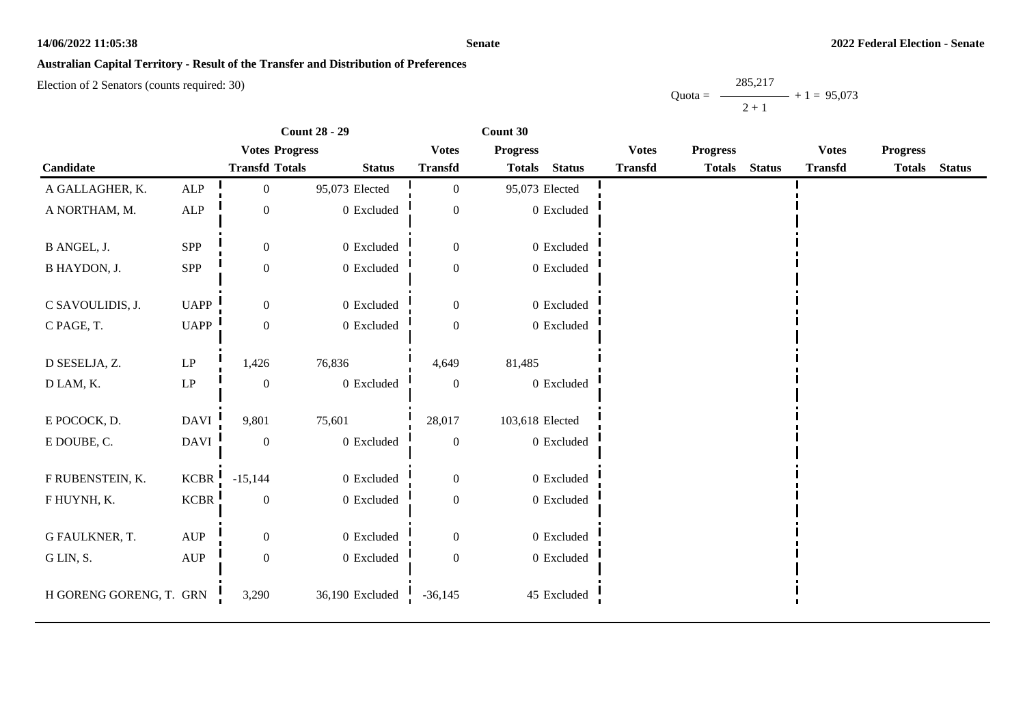#### **Senate**

## **Australian Capital Territory - Result of the Transfer and Distribution of Preferences**

|           | 285,217 |               |
|-----------|---------|---------------|
| $Quota =$ |         | $+1 = 95,073$ |
|           | $2 + 1$ |               |

|                         |                                  |                       | <b>Count 28 - 29</b> |                  | Count 30        |                |                |                 |               |                |                 |               |
|-------------------------|----------------------------------|-----------------------|----------------------|------------------|-----------------|----------------|----------------|-----------------|---------------|----------------|-----------------|---------------|
|                         |                                  | <b>Votes Progress</b> |                      | <b>Votes</b>     | <b>Progress</b> |                | <b>Votes</b>   | <b>Progress</b> |               | <b>Votes</b>   | <b>Progress</b> |               |
| Candidate               |                                  | <b>Transfd Totals</b> | <b>Status</b>        | <b>Transfd</b>   | <b>Totals</b>   | <b>Status</b>  | <b>Transfd</b> | <b>Totals</b>   | <b>Status</b> | <b>Transfd</b> | <b>Totals</b>   | <b>Status</b> |
| A GALLAGHER, K.         | <b>ALP</b>                       | 0                     | 95,073 Elected       | $\boldsymbol{0}$ | 95,073 Elected  |                |                |                 |               |                |                 |               |
| A NORTHAM, M.           | ALP                              | 0                     | 0 Excluded           | $\overline{0}$   |                 | 0 Excluded     |                |                 |               |                |                 |               |
| B ANGEL, J.             | SPP                              | $\boldsymbol{0}$      | 0 Excluded           | $\boldsymbol{0}$ |                 | 0 Excluded     |                |                 |               |                |                 |               |
| B HAYDON, J.            | ${\rm SPP}$                      | $\boldsymbol{0}$      | 0 Excluded           | $\boldsymbol{0}$ |                 | $0\,$ Excluded |                |                 |               |                |                 |               |
| C SAVOULIDIS, J.        | <b>UAPP</b>                      | $\overline{0}$        | 0 Excluded           | $\overline{0}$   |                 | 0 Excluded     |                |                 |               |                |                 |               |
| C PAGE, T.              | UAPP                             | $\boldsymbol{0}$      | 0 Excluded           | $\mathbf{0}$     |                 | 0 Excluded     |                |                 |               |                |                 |               |
| D SESELJA, Z.           | $\operatorname{LP}$              | 1,426                 | 76,836               | 4,649            | 81,485          |                |                |                 |               |                |                 |               |
| D LAM, K.               | $\operatorname{LP}$              | $\boldsymbol{0}$      | 0 Excluded           | $\boldsymbol{0}$ |                 | 0 Excluded     |                |                 |               |                |                 |               |
| E POCOCK, D.            | <b>DAVI</b>                      | 9,801                 | 75,601               | 28,017           | 103,618 Elected |                |                |                 |               |                |                 |               |
| E DOUBE, C.             | DAVI                             | $\boldsymbol{0}$      | $0\,$ Excluded       | $\boldsymbol{0}$ |                 | 0 Excluded     |                |                 |               |                |                 |               |
| F RUBENSTEIN, K.        | KCBR                             | $-15,144$             | 0 Excluded           | $\boldsymbol{0}$ |                 | 0 Excluded     |                |                 |               |                |                 |               |
| F HUYNH, K.             | <b>KCBR</b>                      | $\boldsymbol{0}$      | $0\,$ Excluded       | $\boldsymbol{0}$ |                 | 0 Excluded     |                |                 |               |                |                 |               |
| G FAULKNER, T.          | $\mathbf{A}\mathbf{U}\mathbf{P}$ | 0                     | 0 Excluded           | $\mathbf{0}$     |                 | 0 Excluded     |                |                 |               |                |                 |               |
| G LIN, S.               | $\mathbf{A}\mathbf{U}\mathbf{P}$ | $\boldsymbol{0}$      | 0 Excluded           | $\overline{0}$   |                 | $0\,$ Excluded |                |                 |               |                |                 |               |
| H GORENG GORENG, T. GRN |                                  | 3,290                 | 36,190 Excluded      | $-36,145$        |                 | 45 Excluded    |                |                 |               |                |                 |               |